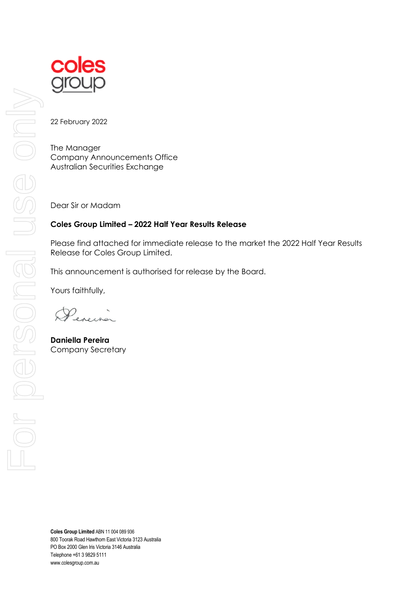

coles

22 February 2022

The Manager Company Announcements Office Australian Securities Exchange

Dear Sir or Madam

# **Coles Group Limited – 2022 Half Year Results Release**

Please find attached for immediate release to the market the 2022 Half Year Results Release for Coles Group Limited.

This announcement is authorised for release by the Board.

Yours faithfully,

**Daniella Pereira** Company Secretary

**Coles Group Limited** ABN 11 004 089 936 800 Toorak Road Hawthorn East Victoria 3123 Australia PO Box 2000 Glen Iris Victoria 3146 Australia Telephone +61 3 9829 5111 www.colesgroup.com.au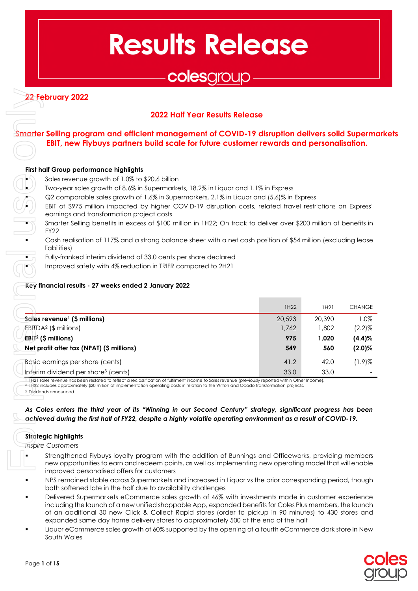# **Results Release**

# colesgroup

# **22 February 2022**

# **2022 Half Year Results Release**

# **Smarter Selling program and efficient management of COVID-19 disruption delivers solid Supermarkets EBIT, new Flybuys partners build scale for future customer rewards and personalisation.**

#### **First half Group performance highlights**

- Sales revenue growth of 1.0% to \$20.6 billion
- Two-year sales growth of 8.6% in Supermarkets, 18.2% in Liquor and 1.1% in Express
- Q2 comparable sales growth of 1.6% in Supermarkets, 2.1% in Liquor and (5.6)% in Express

- Smarter Selling benefits in excess of \$100 million in 1H22; On track to deliver over \$200 million of benefits in FY22
- Cash realisation of 117% and a strong balance sheet with a net cash position of \$54 million (excluding lease liabilities)
- Fully-franked interim dividend of 33.0 cents per share declared
	- Improved safety with 4% reduction in TRIFR compared to 2H21

#### **Key financial results - 27 weeks ended 2 January 2022**

| First half Group performance highlights<br>Sales revenue growth of 1.0% to \$20.6 billion | <b>2022 Half Year Results Release</b><br>Smarter Selling program and efficient management of COVID-19 disruption delivers solid Superme<br>EBIT, new Flybuys partners build scale for future customer rewards and personalisation. |        |        |               |
|-------------------------------------------------------------------------------------------|------------------------------------------------------------------------------------------------------------------------------------------------------------------------------------------------------------------------------------|--------|--------|---------------|
|                                                                                           |                                                                                                                                                                                                                                    |        |        |               |
|                                                                                           |                                                                                                                                                                                                                                    |        |        |               |
|                                                                                           |                                                                                                                                                                                                                                    |        |        |               |
|                                                                                           |                                                                                                                                                                                                                                    |        |        |               |
|                                                                                           | Two-year sales growth of 8.6% in Supermarkets, 18.2% in Liquor and 1.1% in Express                                                                                                                                                 |        |        |               |
|                                                                                           | Q2 comparable sales growth of 1.6% in Supermarkets, 2.1% in Liquor and (5.6)% in Express                                                                                                                                           |        |        |               |
| earnings and transformation project costs                                                 | EBIT of \$975 million impacted by higher COVID-19 disruption costs, related travel restrictions on Express'                                                                                                                        |        |        |               |
|                                                                                           | Smarter Selling benefits in excess of \$100 million in 1H22; On track to deliver over \$200 million of benefits in                                                                                                                 |        |        |               |
| <b>FY22</b>                                                                               |                                                                                                                                                                                                                                    |        |        |               |
|                                                                                           | Cash realisation of 117% and a strong balance sheet with a net cash position of \$54 million (excluding lease                                                                                                                      |        |        |               |
| liabilities)                                                                              |                                                                                                                                                                                                                                    |        |        |               |
| ٠                                                                                         | Fully-franked interim dividend of 33.0 cents per share declared                                                                                                                                                                    |        |        |               |
|                                                                                           | Improved safety with 4% reduction in TRIFR compared to 2H21                                                                                                                                                                        |        |        |               |
| Key financial results - 27 weeks ended 2 January 2022                                     |                                                                                                                                                                                                                                    |        |        |               |
|                                                                                           |                                                                                                                                                                                                                                    |        |        |               |
|                                                                                           |                                                                                                                                                                                                                                    | 1H22   | 1H21   | <b>CHANGE</b> |
| Sales revenue <sup>1</sup> (\$ millions)                                                  |                                                                                                                                                                                                                                    | 20,593 | 20,390 | 1.0%          |
| EBITDA <sup>2</sup> (\$ millions)                                                         |                                                                                                                                                                                                                                    | 1,762  | 1,802  | $(2.2)\%$     |
| $EB T^2$ (\$ millions)                                                                    |                                                                                                                                                                                                                                    | 975    | 1,020  | $(4.4)$ %     |
| Net profit after tax (NPAT) (\$ millions)                                                 |                                                                                                                                                                                                                                    | 549    | 560    | $(2.0)\%$     |
| Basic earnings per share (cents)                                                          |                                                                                                                                                                                                                                    | 41.2   | 42.0   | $(1.9)$ %     |
| Interim dividend per share <sup>3</sup> (cents)                                           |                                                                                                                                                                                                                                    | 33.0   | 33.0   |               |
|                                                                                           | 11H21 sales revenue has been restated to reflect a reclassification of fulfilment income to Sales revenue (previously reported within Other Income).                                                                               |        |        |               |
| <sup>3</sup> Dividends announced.                                                         | <sup>2</sup> -1H22 includes approximately \$20 million of implementation operating costs in relation to the Witron and Ocado transformation projects.                                                                              |        |        |               |
|                                                                                           |                                                                                                                                                                                                                                    |        |        |               |
|                                                                                           | As Coles enters the third year of its "Winning in our Second Century" strategy, significant progress has been                                                                                                                      |        |        |               |
|                                                                                           |                                                                                                                                                                                                                                    |        |        |               |
|                                                                                           | achieved during the first half of FY22, despite a highly volatile operating environment as a result of COVID-19.                                                                                                                   |        |        |               |
|                                                                                           |                                                                                                                                                                                                                                    |        |        |               |
| <b>Strategic highlights</b>                                                               |                                                                                                                                                                                                                                    |        |        |               |
| <b>Inspire Customers</b>                                                                  | Strengthened Flybuys loyalty program with the addition of Bunnings and Officeworks, providing members                                                                                                                              |        |        |               |

#### *As Coles enters the third year of its "Winning in our Second Century" strategy, significant progress has been achieved during the first half of FY22, despite a highly volatile operating environment as a result of COVID-19.*

#### **Strategic highlights**

- Strengthened Flybuys loyalty program with the addition of Bunnings and Officeworks, providing members new opportunities to earn and redeem points, as well as implementing new operating model that will enable improved personalised offers for customers
- NPS remained stable across Supermarkets and increased in Liquor vs the prior corresponding period, though both softened late in the half due to availability challenges
- Delivered Supermarkets eCommerce sales growth of 46% with investments made in customer experience including the launch of a new unified shoppable App, expanded benefits for Coles Plus members, the launch of an additional 30 new Click & Collect Rapid stores (order to pickup in 90 minutes) to 430 stores and expanded same day home delivery stores to approximately 500 at the end of the half
- Liquor eCommerce sales growth of 60% supported by the opening of a fourth eCommerce dark store in New South Wales

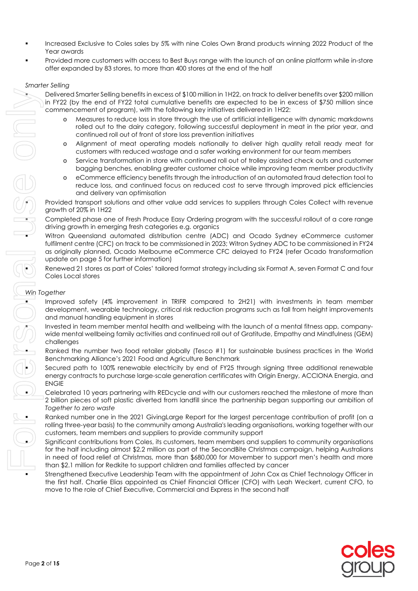- Increased Exclusive to Coles sales by 5% with nine Coles Own Brand products winning 2022 Product of the Year awards
- Provided more customers with access to Best Buys range with the launch of an online platform while in-store offer expanded by 83 stores, to more than 400 stores at the end of the half

#### *Smarter Selling*

 Delivered Smarter Selling benefits in excess of \$100 million in 1H22, on track to deliver benefits over \$200 million in FY22 (by the end of FY22 total cumulative benefits are expected to be in excess of \$750 million since commencement of program), with the following key initiatives delivered in 1H22:

- Measures to reduce loss in store through the use of artificial intelligence with dynamic markdowns rolled out to the dairy category, following successful deployment in meat in the prior year, and continued roll out of front of store loss prevention initiatives
- o Alignment of meat operating models nationally to deliver high quality retail ready meat for customers with reduced wastage and a safer working environment for our team members
- o Service transformation in store with continued roll out of trolley assisted check outs and customer bagging benches, enabling greater customer choice while improving team member productivity
- o eCommerce efficiency benefits through the introduction of an automated fraud detection tool to reduce loss, and continued focus on reduced cost to serve through improved pick efficiencies and delivery van optimisation

 Provided transport solutions and other value add services to suppliers through Coles Collect with revenue growth of 20% in 1H22

 Completed phase one of Fresh Produce Easy Ordering program with the successful rollout of a core range driving growth in emerging fresh categories e.g. organics

 Witron Queensland automated distribution centre (ADC) and Ocado Sydney eCommerce customer fulfilment centre (CFC) on track to be commissioned in 2023; Witron Sydney ADC to be commissioned in FY24 as originally planned, Ocado Melbourne eCommerce CFC delayed to FY24 (refer Ocado transformation update on page 5 for further information)

 Renewed 21 stores as part of Coles' tailored format strategy including six Format A, seven Format C and four Coles Local stores

#### *Win Together*

- Improved safety (4% improvement in TRIFR compared to 2H21) with investments in team member development, wearable technology, critical risk reduction programs such as fall from height improvements and manual handling equipment in stores
- Invested in team member mental health and wellbeing with the launch of a mental fitness app, companywide mental wellbeing family activities and continued roll out of Gratitude, Empathy and Mindfulness (GEM) challenges
- Ranked the number two food retailer globally (Tesco #1) for sustainable business practices in the World Benchmarking Alliance's 2021 Food and Agriculture Benchmark
- Secured path to 100% renewable electricity by end of FY25 through signing three additional renewable energy contracts to purchase large-scale generation certificates with Origin Energy, ACCIONA Energia, and ENGIE
- Celebrated 10 years partnering with REDcycle and with our customers reached the milestone of more than 2 billion pieces of soft plastic diverted from landfill since the partnership began supporting our ambition of *Together to zero waste*
- Ranked number one in the 2021 GivingLarge Report for the largest percentage contribution of profit (on a rolling three-year basis) to the community among Australia's leading organisations, working together with our customers, team members and suppliers to provide community support
	- Sianificant contributions from Coles, its customers, team members and suppliers to community organisations for the half including almost \$2.2 million as part of the SecondBite Christmas campaign, helping Australians in need of food relief at Christmas, more than \$680,000 for Movember to support men's health and more than \$2.1 million for Redkite to support children and families affected by cancer
- Strengthened Executive Leadership Team with the appointment of John Cox as Chief Technology Officer in the first half. Charlie Elias appointed as Chief Financial Officer (CFO) with Leah Weckert, current CFO, to move to the role of Chief Executive, Commercial and Express in the second half

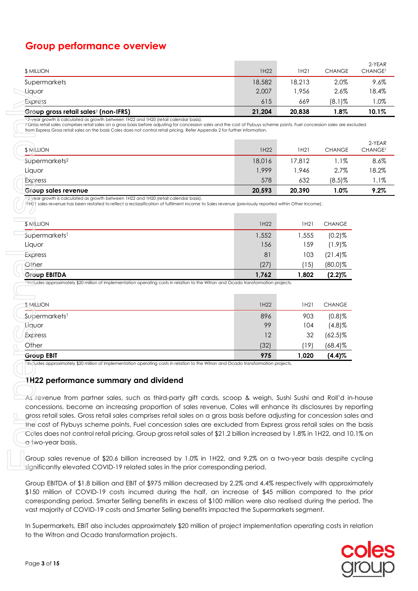# **Group performance overview**

| <b>\$ MILLION</b>                                | 1H22   | 1H21   | <b>CHANGE</b> | 2-YEAR<br><b>CHANGE<sup>1</sup></b> |
|--------------------------------------------------|--------|--------|---------------|-------------------------------------|
| Supermarkets                                     | 18,582 | 18,213 | 2.0%          | 9.6%                                |
| Liquor                                           | 2,007  | 1,956  | 2.6%          | 18.4%                               |
| Express                                          | 615    | 669    | $(8.1)\%$     | 1.0%                                |
| Group gross retail sales <sup>2</sup> (non-IFRS) | 21,204 | 20,838 | $1.8\%$       | 10.1%                               |

| Group sales revenue       | 20,593 | 20,390 | 1.0%          | 9.2%                          |
|---------------------------|--------|--------|---------------|-------------------------------|
| <b>Express</b>            | 578    | 632    | $(8.5)$ %     | 1.1%                          |
| Liquor                    | 1,999  | 1.946  | 2.7%          | 18.2%                         |
| Supermarkets <sup>2</sup> | 18,016 | 17.812 | 1.1%          | 8.6%                          |
| <b>\$ MILLION</b>         | 1H22   | 1H21   | <b>CHANGE</b> | 2-YEAR<br>CHANGE <sup>1</sup> |

| Liquor                                                                                                                                                                                                                                                                                                                                                                                                                                                                                                                                                                                                                                        | 2,007  | 1,956  | 2.6%          |
|-----------------------------------------------------------------------------------------------------------------------------------------------------------------------------------------------------------------------------------------------------------------------------------------------------------------------------------------------------------------------------------------------------------------------------------------------------------------------------------------------------------------------------------------------------------------------------------------------------------------------------------------------|--------|--------|---------------|
| Express                                                                                                                                                                                                                                                                                                                                                                                                                                                                                                                                                                                                                                       | 615    | 669    | $(8.1)$ %     |
| Group gross retail sales <sup>2</sup> (non-IFRS)                                                                                                                                                                                                                                                                                                                                                                                                                                                                                                                                                                                              | 21,204 | 20,838 | 1.8%          |
| $12$ -year growth is calculated as growth between 1H22 and 1H20 (retail calendar basis).<br><sup>2</sup> Gross retail sales comprises retail sales on a gross basis before adjusting for concession sales and the cost of Flybuys scheme points. Fuel concession sales are ex<br>from Express Gross retail sales on the basis Coles does not control retail pricing. Refer Appendix 2 for further information.                                                                                                                                                                                                                                |        |        |               |
| <b>\$ MILLION</b>                                                                                                                                                                                                                                                                                                                                                                                                                                                                                                                                                                                                                             | 1H22   | 1H21   | <b>CHANGE</b> |
| Supermarkets <sup>2</sup>                                                                                                                                                                                                                                                                                                                                                                                                                                                                                                                                                                                                                     | 18,016 | 17,812 | $1.1\%$       |
| Liquor                                                                                                                                                                                                                                                                                                                                                                                                                                                                                                                                                                                                                                        | 1,999  | 1,946  | 2.7%          |
| Express                                                                                                                                                                                                                                                                                                                                                                                                                                                                                                                                                                                                                                       | 578    | 632    | $(8.5)$ %     |
| Group sales revenue                                                                                                                                                                                                                                                                                                                                                                                                                                                                                                                                                                                                                           | 20,593 | 20.390 | 1.0%          |
| $12$ -year growth is calculated as growth between 1H22 and 1H20 (retail calendar basis).<br>?1H21 sales revenue has been restated to reflect a reclassification of fulfilment income to Sales revenue (previously reported within Other Income).                                                                                                                                                                                                                                                                                                                                                                                              |        |        |               |
| \$ MILLION                                                                                                                                                                                                                                                                                                                                                                                                                                                                                                                                                                                                                                    | 1H22   | 1H21   | <b>CHANGE</b> |
| Supermarkets <sup>1</sup>                                                                                                                                                                                                                                                                                                                                                                                                                                                                                                                                                                                                                     | 1,552  | 1,555  | $(0.2)$ %     |
| Liquor                                                                                                                                                                                                                                                                                                                                                                                                                                                                                                                                                                                                                                        | 156    | 159    | $(1.9)$ %     |
| Express                                                                                                                                                                                                                                                                                                                                                                                                                                                                                                                                                                                                                                       | 81     | 103    | $(21.4)$ %    |
| Other                                                                                                                                                                                                                                                                                                                                                                                                                                                                                                                                                                                                                                         | (27)   | (15)   | $(80.0)$ %    |
| <b>Group EBITDA</b>                                                                                                                                                                                                                                                                                                                                                                                                                                                                                                                                                                                                                           | 1,762  | 1,802  | $(2.2)\%$     |
| <sup>+</sup> Includes approximately \$20 million of implementation operating costs in relation to the Witron and Ocado transformation projects.                                                                                                                                                                                                                                                                                                                                                                                                                                                                                               |        |        |               |
| <b>SMILLION</b>                                                                                                                                                                                                                                                                                                                                                                                                                                                                                                                                                                                                                               | 1H22   | 1H21   | <b>CHANGE</b> |
| Supermarkets <sup>1</sup>                                                                                                                                                                                                                                                                                                                                                                                                                                                                                                                                                                                                                     | 896    | 903    | $(0.8)$ %     |
| Liquor                                                                                                                                                                                                                                                                                                                                                                                                                                                                                                                                                                                                                                        | 99     | 104    | $(4.8)$ %     |
| <b>Express</b>                                                                                                                                                                                                                                                                                                                                                                                                                                                                                                                                                                                                                                | 12     | 32     | $(62.5)\%$    |
| Other                                                                                                                                                                                                                                                                                                                                                                                                                                                                                                                                                                                                                                         | (32)   | (19)   | $(68.4)$ %    |
| <b>Group EBIT</b><br>Includes approximately \$20 million of implementation operating costs in relation to the Witron and Ocado transformation projects.                                                                                                                                                                                                                                                                                                                                                                                                                                                                                       | 975    | 1,020  | $(4.4)\%$     |
| 1H22 performance summary and dividend<br>As revenue from partner sales, such as third-party gift cards, scoop & weigh, Sushi Sushi and Roll'd in<br>concessions, become an increasing proportion of sales revenue, Coles will enhance its disclosures by rej<br>gross retail sales. Gross retail sales comprises retail sales on a gross basis before adjusting for concession sal<br>the cost of Flybuys scheme points. Fuel concession sales are excluded from Express gross retail sales on th<br>Coles does not control retail pricing. Group gross retail sales of \$21.2 billion increased by 1.8% in 1H22, and 10<br>a two-year basis. |        |        |               |
| Group sales revenue of \$20.6 billion increased by 1.0% in 1H22, and 9.2% on a two-year basis despite of<br>significantly elevated COVID-19 related sales in the prior corresponding period.                                                                                                                                                                                                                                                                                                                                                                                                                                                  |        |        |               |
| Group EBITDA of \$1.8 billion and EBIT of \$975 million decreased by 2.2% and 4.4% respectively with approxi<br>\$150 million of COVID-19 costs incurred during the half, an increase of \$45 million compared to th<br>corresponding period. Smarter Selling benefits in excess of \$100 million were also realised during the perio<br>vast majority of COVID-19 costs and Smarter Selling benefits impacted the Supermarkets segment.                                                                                                                                                                                                      |        |        |               |
| In Supermarkets, EBIT also includes approximately \$20 million of project implementation operating costs in r<br>to the Witron and Ocado transformation projects.                                                                                                                                                                                                                                                                                                                                                                                                                                                                             |        |        |               |

| <b>Group EBIT</b>         | 975  | 1,020 | (4.4)%        |
|---------------------------|------|-------|---------------|
| Other                     | (32) | 19)   | $(68.4)$ %    |
| Express                   | 12   | 32    | $(62.5)\%$    |
| Liquor                    | 99   | 104   | (4.8)%        |
| Supermarkets <sup>1</sup> | 896  | 903   | $(0.8)$ %     |
| $$$ MILLION               | 1H22 | 1H21  | <b>CHANGE</b> |
|                           |      |       |               |

#### **1H22 performance summary and dividend**

As revenue from partner sales, such as third-party gift cards, scoop & weigh, Sushi Sushi and Roll'd in-house concessions, become an increasing proportion of sales revenue, Coles will enhance its disclosures by reporting gross retail sales. Gross retail sales comprises retail sales on a gross basis before adjusting for concession sales and the cost of Flybuys scheme points. Fuel concession sales are excluded from Express gross retail sales on the basis Coles does not control retail pricing. Group gross retail sales of \$21.2 billion increased by 1.8% in 1H22, and 10.1% on a two-year basis.

Group sales revenue of \$20.6 billion increased by 1.0% in 1H22, and 9.2% on a two-year basis despite cycling significantly elevated COVID-19 related sales in the prior corresponding period.

Group EBITDA of \$1.8 billion and EBIT of \$975 million decreased by 2.2% and 4.4% respectively with approximately \$150 million of COVID-19 costs incurred during the half, an increase of \$45 million compared to the prior corresponding period. Smarter Selling benefits in excess of \$100 million were also realised during the period. The vast majority of COVID-19 costs and Smarter Selling benefits impacted the Supermarkets segment.

In Supermarkets, EBIT also includes approximately \$20 million of project implementation operating costs in relation

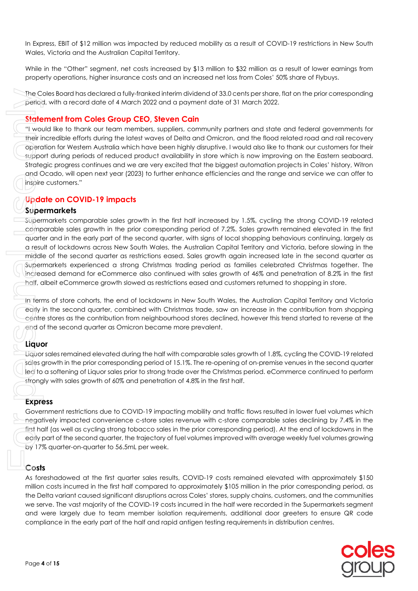In Express, EBIT of \$12 million was impacted by reduced mobility as a result of COVID-19 restrictions in New South Wales, Victoria and the Australian Capital Territory.

While in the "Other" segment, net costs increased by \$13 million to \$32 million as a result of lower earnings from property operations, higher insurance costs and an increased net loss from Coles' 50% share of Flybuys.

The Coles Board has declared a fully-franked interim dividend of 33.0 cents per share, flat on the prior corresponding period, with a record date of 4 March 2022 and a payment date of 31 March 2022.

# **Statement from Coles Group CEO, Steven Cain**

"I would like to thank our team members, suppliers, community partners and state and federal governments for their incredible efforts during the latest waves of Delta and Omicron, and the flood related road and rail recovery operation for Western Australia which have been highly disruptive. I would also like to thank our customers for their support during periods of reduced product availability in store which is now improving on the Eastern seaboard. Strategic progress continues and we are very excited that the biggest automation projects in Coles' history, Witron and Ocado, will open next year (2023) to further enhance efficiencies and the range and service we can offer to inspire customers."

# **Update on COVID-19 impacts**

### **Supermarkets**

Supermarkets comparable sales growth in the first half increased by 1.5%, cycling the strong COVID-19 related comparable sales growth in the prior corresponding period of 7.2%. Sales growth remained elevated in the first quarter and in the early part of the second quarter, with signs of local shopping behaviours continuing, largely as a result of lockdowns across New South Wales, the Australian Capital Territory and Victoria, before slowing in the middle of the second quarter as restrictions eased. Sales growth again increased late in the second quarter as Supermarkets experienced a strong Christmas trading period as families celebrated Christmas together. The increased demand for eCommerce also continued with sales growth of 46% and penetration of 8.2% in the first half, albeit eCommerce growth slowed as restrictions eased and customers returned to shopping in store. complexite in the external of the half and rapid antigention of 30, comparison that are also the early part of the early part of the early part of the entries and rapid and rapid and rapid and rapid and rapid and rapid and

In terms of store cohorts, the end of lockdowns in New South Wales, the Australian Capital Territory and Victoria early in the second quarter, combined with Christmas trade, saw an increase in the contribution from shopping centre stores as the contribution from neighbourhood stores declined, however this trend started to reverse at the end of the second quarter as Omicron became more prevalent.

# **Liquor**

Liquor sales remained elevated during the half with comparable sales growth of 1.8%, cycling the COVID-19 related sales growth in the prior corresponding period of 15.1%. The re-opening of on-premise venues in the second quarter led to a softening of Liquor sales prior to strong trade over the Christmas period. eCommerce continued to perform strongly with sales growth of 60% and penetration of 4.8% in the first half.

# **Express**

Government restrictions due to COVID-19 impacting mobility and traffic flows resulted in lower fuel volumes which negatively impacted convenience c-store sales revenue with c-store comparable sales declining by 7.4% in the first half (as well as cycling strong tobacco sales in the prior corresponding period). At the end of lockdowns in the early part of the second quarter, the trajectory of fuel volumes improved with average weekly fuel volumes growing by 17% quarter-on-quarter to 56.5mL per week.

As foreshadowed at the first quarter sales results, COVID-19 costs remained elevated with approximately \$150 million costs incurred in the first half compared to approximately \$105 million in the prior corresponding period, as the Delta variant caused significant disruptions across Coles' stores, supply chains, customers, and the communities we serve. The vast majority of the COVID-19 costs incurred in the half were recorded in the Supermarkets segment and were largely due to team member isolation requirements, additional door greeters to ensure QR code

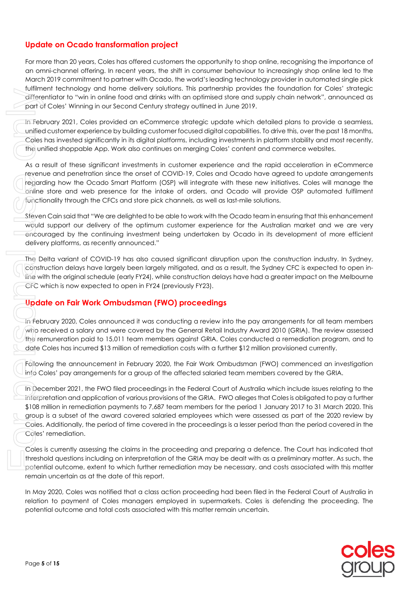# **Update on Ocado transformation project**

For more than 20 years, Coles has offered customers the opportunity to shop online, recognising the importance of an omni-channel offering. In recent years, the shift in consumer behaviour to increasingly shop online led to the March 2019 commitment to partner with Ocado, the world's leading technology provider in automated single pick fulfilment technology and home delivery solutions. This partnership provides the foundation for Coles' strategic differentiator to "win in online food and drinks with an optimised store and supply chain network", announced as part of Coles' Winning in our Second Century strategy outlined in June 2019.

In February 2021, Coles provided an eCommerce strategic update which detailed plans to provide a seamless, unified customer experience by building customer focused digital capabilities. To drive this, over the past 18 months, Coles has invested significantly in its digital platforms, including investments in platform stability and most recently, the unified shoppable App. Work also continues on merging Coles' content and commerce websites.

As a result of these significant investments in customer experience and the rapid acceleration in eCommerce revenue and penetration since the onset of COVID-19, Coles and Ocado have agreed to update arrangements regarding how the Ocado Smart Platform (OSP) will integrate with these new initiatives. Coles will manage the online store and web presence for the intake of orders, and Ocado will provide OSP automated fulfilment functionality through the CFCs and store pick channels, as well as last-mile solutions.

Steven Cain said that "We are delighted to be able to work with the Ocado team in ensuring that this enhancement would support our delivery of the optimum customer experience for the Australian market and we are very encouraged by the continuing investment being undertaken by Ocado in its development of more efficient delivery platforms, as recently announced."

The Delta variant of COVID-19 has also caused significant disruption upon the construction industry. In Sydney, construction delays have largely been largely mitigated, and as a result, the Sydney CFC is expected to open inline with the original schedule (early FY24), while construction delays have had a greater impact on the Melbourne CFC which is now expected to open in FY24 (previously FY23).

# **Update on Fair Work Ombudsman (FWO) proceedings**

In February 2020, Coles announced it was conducting a review into the pay arrangements for all team members who received a salary and were covered by the General Retail Industry Award 2010 (GRIA). The review assessed the remuneration paid to 15,011 team members against GRIA. Coles conducted a remediation program, and to date Coles has incurred \$13 million of remediation costs with a further \$12 million provisioned currently.

Following the announcement in February 2020, the Fair Work Ombudsman (FWO) commenced an investigation into Coles' pay arrangements for a group of the affected salaried team members covered by the GRIA.

In December 2021, the FWO filed proceedings in the Federal Court of Australia which include issues relating to the interpretation and application of various provisions of the GRIA. FWO alleges that Coles is obligated to pay a further \$108 million in remediation payments to 7,687 team members for the period 1 January 2017 to 31 March 2020. This group is a subset of the award covered salaried employees which were assessed as part of the 2020 review by Coles. Additionally, the period of time covered in the proceedings is a lesser period than the period covered in the Coles' remediation. minimum meaning in out soletic only in the state of Cost Winning in outcome and total costs associated with the 2013. Coles provided an eCommence strategic usode which det unite 2013. Coles provided an eCommence strategic

Coles is currently assessing the claims in the proceeding and preparing a defence. The Court has indicated that threshold questions including on interpretation of the GRIA may be dealt with as a preliminary matter. As such, the potential outcome, extent to which further remediation may be necessary, and costs associated with this matter remain uncertain as at the date of this report.

In May 2020, Coles was notified that a class action proceeding had been filed in the Federal Court of Australia in relation to payment of Coles managers employed in supermarkets. Coles is defending the proceeding. The

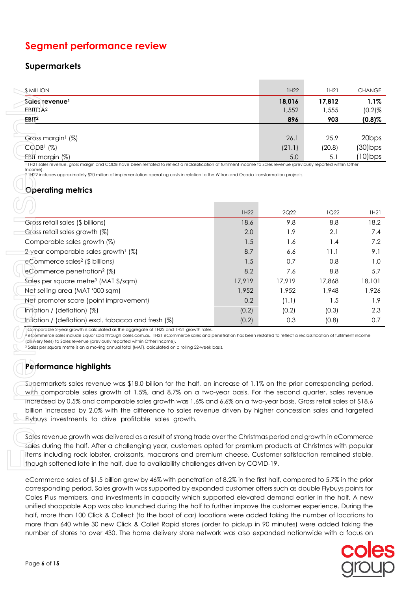# **Segment performance review**

# **Supermarkets**

| <b>SMILLION</b>                                                                                                                                                    | 1H22   | 1H21   | <b>CHANGE</b>     |
|--------------------------------------------------------------------------------------------------------------------------------------------------------------------|--------|--------|-------------------|
| Sales revenue <sup>1</sup>                                                                                                                                         | 18,016 | 17,812 | $1.1\%$           |
| EBITDA <sup>2</sup>                                                                                                                                                | 1,552  | 1,555  | $(0.2)$ %         |
| EBIT <sup>2</sup>                                                                                                                                                  | 896    | 903    | $(0.8)$ %         |
|                                                                                                                                                                    |        |        |                   |
| Gross margin <sup>1</sup> (%)                                                                                                                                      | 26.1   | 25.9   | 20 <sub>bps</sub> |
| CODB1 (%)                                                                                                                                                          | (21.1) | (20.8) | $(30)$ bps        |
| EBIT margin (%)                                                                                                                                                    | 5.0    | 5.1    | $(10)$ bps        |
| l 1421 eglec revenue arece margin and CODP have been restated to reflect a reclacification of fulfilment income to Sales revenue Inreviewely repeated within Other |        |        |                   |

# **Operating metrics**

| \$ MILLION                                                                                                                                                                                                                                                                                                                                                                                                                                                                                                                                                                                                                                                                                                                                                                                                                                                              |        | <b>IH22</b> | TH <sub>2</sub> T | <b>CHANGE</b>                                                                                                 |
|-------------------------------------------------------------------------------------------------------------------------------------------------------------------------------------------------------------------------------------------------------------------------------------------------------------------------------------------------------------------------------------------------------------------------------------------------------------------------------------------------------------------------------------------------------------------------------------------------------------------------------------------------------------------------------------------------------------------------------------------------------------------------------------------------------------------------------------------------------------------------|--------|-------------|-------------------|---------------------------------------------------------------------------------------------------------------|
| Sales revenue <sup>1</sup>                                                                                                                                                                                                                                                                                                                                                                                                                                                                                                                                                                                                                                                                                                                                                                                                                                              |        | 18,016      | 17,812            | 1.1%                                                                                                          |
| EBITDA <sup>2</sup>                                                                                                                                                                                                                                                                                                                                                                                                                                                                                                                                                                                                                                                                                                                                                                                                                                                     |        | 1,552       | 1,555             | $(0.2)$ %                                                                                                     |
| EBH <sup>2</sup>                                                                                                                                                                                                                                                                                                                                                                                                                                                                                                                                                                                                                                                                                                                                                                                                                                                        |        | 896         | 903               | $(0.8)\%$                                                                                                     |
|                                                                                                                                                                                                                                                                                                                                                                                                                                                                                                                                                                                                                                                                                                                                                                                                                                                                         |        |             |                   |                                                                                                               |
| Gross margin <sup>1</sup> (%)                                                                                                                                                                                                                                                                                                                                                                                                                                                                                                                                                                                                                                                                                                                                                                                                                                           |        | 26.1        | 25.9              | 20 <sub>bps</sub>                                                                                             |
| CODB1 (%)                                                                                                                                                                                                                                                                                                                                                                                                                                                                                                                                                                                                                                                                                                                                                                                                                                                               |        | (21.1)      | (20.8)            | $(30)$ bps                                                                                                    |
| EBIT margin (%)<br><sup>1</sup> IH21 sales revenue, gross margin and CODB have been restated to reflect a reclassification of fulfilment income to Sales revenue (previously reported within Other                                                                                                                                                                                                                                                                                                                                                                                                                                                                                                                                                                                                                                                                      |        | 5.0         | 5.1               | (10) bps                                                                                                      |
| Income).<br>? IH22 includes approximately \$20 million of implementation operating costs in relation to the Witron and Ocado transformation projects.                                                                                                                                                                                                                                                                                                                                                                                                                                                                                                                                                                                                                                                                                                                   |        |             |                   |                                                                                                               |
|                                                                                                                                                                                                                                                                                                                                                                                                                                                                                                                                                                                                                                                                                                                                                                                                                                                                         |        |             |                   |                                                                                                               |
| <b>Operating metrics</b>                                                                                                                                                                                                                                                                                                                                                                                                                                                                                                                                                                                                                                                                                                                                                                                                                                                |        |             |                   |                                                                                                               |
|                                                                                                                                                                                                                                                                                                                                                                                                                                                                                                                                                                                                                                                                                                                                                                                                                                                                         |        |             |                   |                                                                                                               |
|                                                                                                                                                                                                                                                                                                                                                                                                                                                                                                                                                                                                                                                                                                                                                                                                                                                                         | 1H22   | 2Q22        | 1Q22              | 1H21                                                                                                          |
| Gross retail sales (\$ billions)                                                                                                                                                                                                                                                                                                                                                                                                                                                                                                                                                                                                                                                                                                                                                                                                                                        | 18.6   | 9.8         | 8.8               | 18.2                                                                                                          |
| Gross retail sales growth (%)                                                                                                                                                                                                                                                                                                                                                                                                                                                                                                                                                                                                                                                                                                                                                                                                                                           | 2.0    | 1.9         | 2.1               | 7.4                                                                                                           |
| Comparable sales growth (%)                                                                                                                                                                                                                                                                                                                                                                                                                                                                                                                                                                                                                                                                                                                                                                                                                                             | 1.5    | 1.6         | 1.4               | 7.2                                                                                                           |
| 2-year comparable sales growth <sup>1</sup> (%)                                                                                                                                                                                                                                                                                                                                                                                                                                                                                                                                                                                                                                                                                                                                                                                                                         | 8.7    | 6.6         | 11.1              | 9.1                                                                                                           |
| eCommerce sales <sup>2</sup> (\$ billions)                                                                                                                                                                                                                                                                                                                                                                                                                                                                                                                                                                                                                                                                                                                                                                                                                              | 1.5    | 0.7         | 0.8               | 1.0                                                                                                           |
| eCommerce penetration <sup>2</sup> (%)                                                                                                                                                                                                                                                                                                                                                                                                                                                                                                                                                                                                                                                                                                                                                                                                                                  | 8.2    | 7.6         | 8.8               | 5.7                                                                                                           |
| Sales per square metre <sup>3</sup> (MAT \$/sqm)                                                                                                                                                                                                                                                                                                                                                                                                                                                                                                                                                                                                                                                                                                                                                                                                                        | 17,919 | 17,919      | 17,868            | 18,101                                                                                                        |
| Net selling area (MAT '000 sqm)                                                                                                                                                                                                                                                                                                                                                                                                                                                                                                                                                                                                                                                                                                                                                                                                                                         | 1,952  | 1,952       | 1,948             | 1,926                                                                                                         |
| Net promoter score (point improvement)                                                                                                                                                                                                                                                                                                                                                                                                                                                                                                                                                                                                                                                                                                                                                                                                                                  | 0.2    | (1.1)       | 1.5               | 1.9                                                                                                           |
| Inflation / (deflation) (%)                                                                                                                                                                                                                                                                                                                                                                                                                                                                                                                                                                                                                                                                                                                                                                                                                                             | (0.2)  | (0.2)       | (0.3)             | 2.3                                                                                                           |
| Inflation / (deflation) excl. tobacco and fresh (%)                                                                                                                                                                                                                                                                                                                                                                                                                                                                                                                                                                                                                                                                                                                                                                                                                     | (0.2)  | 0.3         | (0.8)             | 0.7                                                                                                           |
| e Commerce sales include Liquor sold through coles.com.au. 1H21 eCommerce sales and penetration has been restated to reflect a reclassification of fulfilment income<br>(delivery fees) to Sales revenue (previously reported within Other Income).<br><sup>3</sup> Sales per square metre is on a moving annual total (MAT), calculated on a rolling 52-week basis.<br>Performance highlights<br>Supermarkets sales revenue was \$18.0 billion for the half, an increase of 1.1% on the prior corresponding period,<br>with comparable sales growth of 1.5%, and 8.7% on a two-year basis. For the second quarter, sales revenue<br>increased by 0.5% and comparable sales growth was 1.6% and 6.6% on a two-year basis. Gross retail sales of \$18.6<br>billion increased by 2.0% with the difference to sales revenue driven by higher concession sales and targeted |        |             |                   |                                                                                                               |
| Flybuys investments to drive profitable sales growth.<br>Sales revenue growth was delivered as a result of strong trade over the Christmas period and growth in eCommerce<br>sales during the half. After a challenging year, customers opted for premium products at Christmas with popular                                                                                                                                                                                                                                                                                                                                                                                                                                                                                                                                                                            |        |             |                   | items including rock lobster, croissants, macarons and premium cheese. Customer satisfaction remained stable, |

# **Performance highlights**

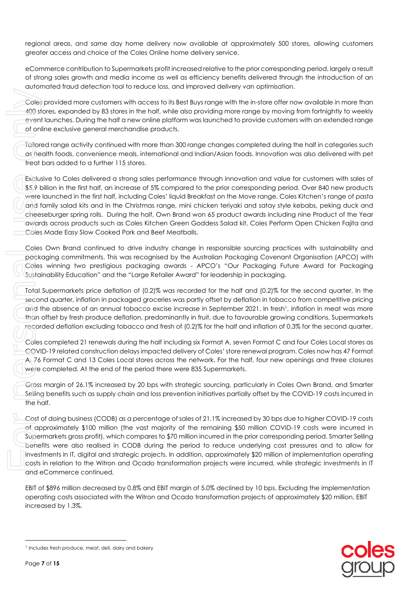regional areas, and same day home delivery now available at approximately 500 stores, allowing customers greater access and choice of the Coles Online home delivery service.

eCommerce contribution to Supermarkets profit increased relative to the prior corresponding period, largely a result of strong sales growth and media income as well as efficiency benefits delivered through the introduction of an automated fraud detection tool to reduce loss, and improved delivery van optimisation.

Coles provided more customers with access to its Best Buys range with the in-store offer now available in more than 400 stores, expanded by 83 stores in the half, while also providing more range by moving from fortnightly to weekly event launches. During the half a new online platform was launched to provide customers with an extended range of online exclusive general merchandise products.

Tailored range activity continued with more than 300 range changes completed during the half in categories such as health foods, convenience meals, international and Indian/Asian foods. Innovation was also delivered with pet treat bars added to a further 115 stores.

Exclusive to Coles delivered a strong sales performance through innovation and value for customers with sales of \$5.9 billion in the first half, an increase of 5% compared to the prior corresponding period. Over 840 new products were launched in the first half, including Coles' liquid Breakfast on the Move range, Coles Kitchen's range of pasta and family salad kits and in the Christmas range, mini chicken teriyaki and satay style kebabs, peking duck and cheeseburger spring rolls. During the half, Own Brand won 65 product awards including nine Product of the Year awards across products such as Coles Kitchen Green Goddess Salad kit, Coles Perform Open Chicken Fajita and Coles Made Easy Slow Cooked Pork and Beef Meatballs. Coles provided more customers with accession the event knotted on the event follows. During the half a new onling of online exclusive general merchands for a coles follows the meat of the coles follows the text basery For

Coles Own Brand continued to drive industry change in responsible sourcing practices with sustainability and packaging commitments. This was recognised by the Australian Packaging Covenant Organisation (APCO) with Coles winning two prestigious packaging awards - APCO's "Our Packaging Future Award for Packaging Sustainability Education" and the "Large Retailer Award" for leadership in packaging.

Total Supermarkets price deflation of (0.2)% was recorded for the half and (0.2)% for the second quarter. In the second quarter, inflation in packaged groceries was partly offset by deflation in tobacco from competitive pricing and the absence of an annual tobacco excise increase in September 2021. In fresh<sup>1</sup>, inflation in meat was more than offset by fresh produce deflation, predominantly in fruit, due to favourable growing conditions. Supermarkets recorded deflation excluding tobacco and fresh of (0.2)% for the half and inflation of 0.3% for the second quarter.

Coles completed 21 renewals during the half including six Format A, seven Format C and four Coles Local stores as COVID-19 related construction delays impacted delivery of Coles' store renewal program. Coles now has 47 Format A, 76 Format C and 13 Coles Local stores across the network. For the half, four new openings and three closures were completed. At the end of the period there were 835 Supermarkets.

Gross margin of 26.1% increased by 20 bps with strategic sourcing, particularly in Coles Own Brand, and Smarter Selling benefits such as supply chain and loss prevention initiatives partially offset by the COVID-19 costs incurred in the half.

Cost of doing business (CODB) as a percentage of sales of 21.1% increased by 30 bps due to higher COVID-19 costs of approximately \$100 million (the vast majority of the remaining \$50 million COVID-19 costs were incurred in Supermarkets gross profit), which compares to \$70 million incurred in the prior corresponding period. Smarter Selling benefits were also realised in CODB during the period to reduce underlying cost pressures and to allow for investments in IT, digital and strategic projects. In addition, approximately \$20 million of implementation operating costs in relation to the Witron and Ocado transformation projects were incurred, while strategic investments in IT and eCommerce continued.

EBIT of \$896 million decreased by 0.8% and EBIT margin of 5.0% declined by 10 bps. Excluding the implementation operating costs associated with the Witron and Ocado transformation projects of approximately \$20 million, EBIT increased by 1.3%.

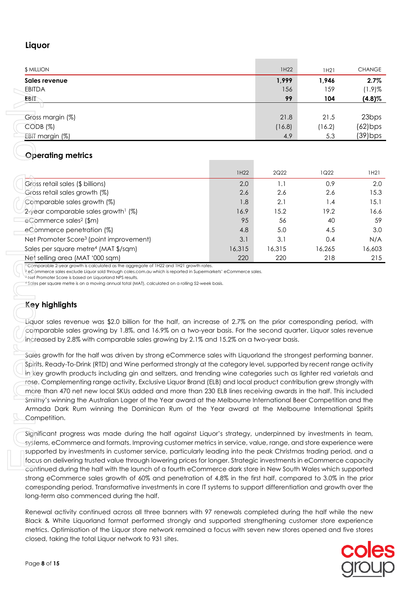# **Liquor**

| <b>\$ MILLION</b> | 1H22   | 1H21   | <b>CHANGE</b>     |
|-------------------|--------|--------|-------------------|
| Sales revenue     | 1,999  | 1,946  | 2.7%              |
| <b>EBITDA</b>     | 156    | 159    | $(1.9)$ %         |
| EBIT              | 99     | 104    | $(4.8)\%$         |
|                   |        |        |                   |
| Gross margin (%)  | 21.8   | 21.5   | 23 <sub>bps</sub> |
| $CODB$ $(\%)$     | (16.8) | (16.2) | $(62)$ bps        |
| EBIT margin (%)   | 4.9    | 5.3    | $(39)$ bps        |

# **Operating metrics**

| CDIIDA                                                                                                                                                                                                                                                                                                                                                                                                                                                                                                                                                                                                                                                                                                                                                                                                                                                                                                                                                                                                                                                                                                                                                                                        |        | 190    | 177    | (1.7)/0           |
|-----------------------------------------------------------------------------------------------------------------------------------------------------------------------------------------------------------------------------------------------------------------------------------------------------------------------------------------------------------------------------------------------------------------------------------------------------------------------------------------------------------------------------------------------------------------------------------------------------------------------------------------------------------------------------------------------------------------------------------------------------------------------------------------------------------------------------------------------------------------------------------------------------------------------------------------------------------------------------------------------------------------------------------------------------------------------------------------------------------------------------------------------------------------------------------------------|--------|--------|--------|-------------------|
| EBIT                                                                                                                                                                                                                                                                                                                                                                                                                                                                                                                                                                                                                                                                                                                                                                                                                                                                                                                                                                                                                                                                                                                                                                                          |        | 99     | 104    | $(4.8)\%$         |
|                                                                                                                                                                                                                                                                                                                                                                                                                                                                                                                                                                                                                                                                                                                                                                                                                                                                                                                                                                                                                                                                                                                                                                                               |        |        |        |                   |
|                                                                                                                                                                                                                                                                                                                                                                                                                                                                                                                                                                                                                                                                                                                                                                                                                                                                                                                                                                                                                                                                                                                                                                                               |        | 21.8   | 21.5   | 23 <sub>bps</sub> |
| Gross margin (%)                                                                                                                                                                                                                                                                                                                                                                                                                                                                                                                                                                                                                                                                                                                                                                                                                                                                                                                                                                                                                                                                                                                                                                              |        |        |        |                   |
| CODB (%)                                                                                                                                                                                                                                                                                                                                                                                                                                                                                                                                                                                                                                                                                                                                                                                                                                                                                                                                                                                                                                                                                                                                                                                      |        | (16.8) | (16.2) | $(62)$ bps        |
| EBIT margin (%)                                                                                                                                                                                                                                                                                                                                                                                                                                                                                                                                                                                                                                                                                                                                                                                                                                                                                                                                                                                                                                                                                                                                                                               |        | 4.9    | 5.3    | (39) bps          |
|                                                                                                                                                                                                                                                                                                                                                                                                                                                                                                                                                                                                                                                                                                                                                                                                                                                                                                                                                                                                                                                                                                                                                                                               |        |        |        |                   |
| <b>Operating metrics</b>                                                                                                                                                                                                                                                                                                                                                                                                                                                                                                                                                                                                                                                                                                                                                                                                                                                                                                                                                                                                                                                                                                                                                                      |        |        |        |                   |
|                                                                                                                                                                                                                                                                                                                                                                                                                                                                                                                                                                                                                                                                                                                                                                                                                                                                                                                                                                                                                                                                                                                                                                                               |        |        |        |                   |
|                                                                                                                                                                                                                                                                                                                                                                                                                                                                                                                                                                                                                                                                                                                                                                                                                                                                                                                                                                                                                                                                                                                                                                                               |        |        |        |                   |
|                                                                                                                                                                                                                                                                                                                                                                                                                                                                                                                                                                                                                                                                                                                                                                                                                                                                                                                                                                                                                                                                                                                                                                                               | 1H22   | 2Q22   | 1Q22   | 1H21              |
| Gross retail sales (\$ billions)                                                                                                                                                                                                                                                                                                                                                                                                                                                                                                                                                                                                                                                                                                                                                                                                                                                                                                                                                                                                                                                                                                                                                              | 2.0    | 1.1    | 0.9    | 2.0               |
| Gross retail sales growth (%)                                                                                                                                                                                                                                                                                                                                                                                                                                                                                                                                                                                                                                                                                                                                                                                                                                                                                                                                                                                                                                                                                                                                                                 | 2.6    | 2.6    | 2.6    | 15.3              |
| Comparable sales growth (%)                                                                                                                                                                                                                                                                                                                                                                                                                                                                                                                                                                                                                                                                                                                                                                                                                                                                                                                                                                                                                                                                                                                                                                   | 1.8    | 2.1    | 1.4    | 15.1              |
|                                                                                                                                                                                                                                                                                                                                                                                                                                                                                                                                                                                                                                                                                                                                                                                                                                                                                                                                                                                                                                                                                                                                                                                               |        |        |        |                   |
| 2-year comparable sales growth <sup>1</sup> (%)                                                                                                                                                                                                                                                                                                                                                                                                                                                                                                                                                                                                                                                                                                                                                                                                                                                                                                                                                                                                                                                                                                                                               | 16.9   | 15.2   | 19.2   | 16.6              |
| eCommerce sales <sup>2</sup> (\$m)                                                                                                                                                                                                                                                                                                                                                                                                                                                                                                                                                                                                                                                                                                                                                                                                                                                                                                                                                                                                                                                                                                                                                            | 95     | 56     | 40     | 59                |
| eCommerce penetration (%)                                                                                                                                                                                                                                                                                                                                                                                                                                                                                                                                                                                                                                                                                                                                                                                                                                                                                                                                                                                                                                                                                                                                                                     | 4.8    | 5.0    | 4.5    | 3.0               |
| Net Promoter Score <sup>3</sup> (point improvement)                                                                                                                                                                                                                                                                                                                                                                                                                                                                                                                                                                                                                                                                                                                                                                                                                                                                                                                                                                                                                                                                                                                                           | 3.1    | 3.1    | 0.4    | N/A               |
| Sales per square metre <sup>4</sup> (MAT \$/sqm)                                                                                                                                                                                                                                                                                                                                                                                                                                                                                                                                                                                                                                                                                                                                                                                                                                                                                                                                                                                                                                                                                                                                              | 16,315 | 16,315 | 16,265 | 16,603            |
|                                                                                                                                                                                                                                                                                                                                                                                                                                                                                                                                                                                                                                                                                                                                                                                                                                                                                                                                                                                                                                                                                                                                                                                               |        |        |        |                   |
| Net selling area (MAT '000 sqm)<br><sup>1</sup> Comparable 2-year growth is calculated as the aggregate of 1H22 and 1H21 growth rates.                                                                                                                                                                                                                                                                                                                                                                                                                                                                                                                                                                                                                                                                                                                                                                                                                                                                                                                                                                                                                                                        | 220    | 220    | 218    | 215               |
| Key highlights<br>Liquor sales revenue was \$2.0 billion for the half, an increase of 2.7% on the prior corresponding period, with<br>comparable sales growing by 1.8%, and 16.9% on a two-year basis. For the second quarter, Liquor sales revenue<br>increased by 2.8% with comparable sales growing by 2.1% and 15.2% on a two-year basis.<br>Sales growth for the half was driven by strong eCommerce sales with Liquorland the strongest performing banner.<br>Spirits, Ready-To-Drink (RTD) and Wine performed strongly at the category level, supported by recent range activity<br>in key growth products including gin and seltzers, and trending wine categories such as lighter red varietals and<br>rose. Complementing range activity, Exclusive Liquor Brand (ELB) and local product contribution grew strongly with<br>more than 470 net new local SKUs added and more than 230 ELB lines receiving awards in the half. This included<br>Smithy's winning the Australian Lager of the Year award at the Melbourne International Beer Competition and the<br>Armada Dark Rum winning the Dominican Rum of the Year award at the Melbourne International Spirits<br>Competition. |        |        |        |                   |
| Significant progress was made during the half against Liquor's strategy, underpinned by investments in team,<br>systems, eCommerce and formats. Improving customer metrics in service, value, range, and store experience were<br>supported by investments in customer service, particularly leading into the peak Christmas trading period, and a<br>focus on delivering trusted value through lowering prices for longer. Strategic investments in eCommerce capacity<br>continued during the half with the launch of a fourth eCommerce dark store in New South Wales which supported<br>strong eCommerce sales growth of 60% and penetration of 4.8% in the first half, compared to 3.0% in the prior<br>corresponding period. Transformative investments in core IT systems to support differentiation and growth over the<br>long-term also commenced during the half.                                                                                                                                                                                                                                                                                                                  |        |        |        |                   |
| Renewal activity continued across all three banners with 97 renewals completed during the half while the new<br>Black & White Liquorland format performed strongly and supported strengthening customer store experience<br>metrics. Optimisation of the Liquor store network remained a focus with seven new stores opened and five stores<br>closed, taking the total Liquor network to 931 sites.                                                                                                                                                                                                                                                                                                                                                                                                                                                                                                                                                                                                                                                                                                                                                                                          |        |        |        |                   |

# **Key highlights**

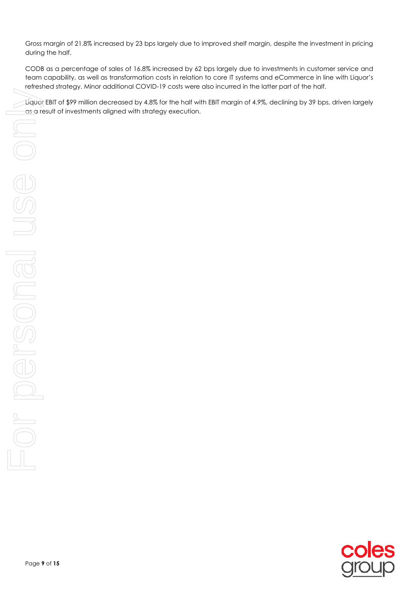Gross margin of 21.8% increased by 23 bps largely due to improved shelf margin, despite the investment in pricing during the half.

CODB as a percentage of sales of 16.8% increased by 62 bps largely due to investments in customer service and team capability, as well as transformation costs in relation to core IT systems and eCommerce in line with Liquor's refreshed strategy. Minor additional COVID-19 costs were also incurred in the latter part of the half.

Liquor EBIT of \$99 million decreased by 4.8% for the half with EBIT margin of 4.9%, declining by 39 bps, driven largely

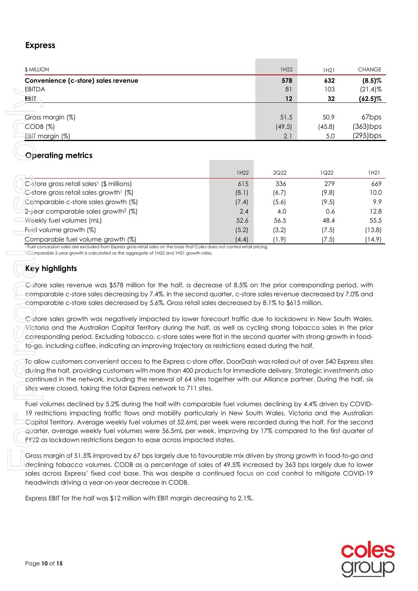# **Express**

| <b>\$ MILLION</b>                   | 1H22   | 1H21   | <b>CHANGE</b>     |
|-------------------------------------|--------|--------|-------------------|
| Convenience (c-store) sales revenue | 578    | 632    | $(8.5)\%$         |
| <b>EBITDA</b>                       | 81     | 103    | $(21.4)$ %        |
| EBIT                                | 12     | 32     | $(62.5)\%$        |
|                                     |        |        |                   |
| Gross margin (%)                    | 51.5   | 50.9   | 67 <sub>bps</sub> |
| $CODB$ $(\%)$                       | (49.5) | (45.8) | (363) bps         |
| EBIT margin (%)                     | 2.1    | 5.0    | (295) bps         |

# **Operating metrics**

| CDIIDA                                                                                                                                                                                                                                                                                                                                                                                                                                                                                                                                                                                                                                                                                   |       | OI     | <b>IUJ</b> | (∠ I .4) 7o |
|------------------------------------------------------------------------------------------------------------------------------------------------------------------------------------------------------------------------------------------------------------------------------------------------------------------------------------------------------------------------------------------------------------------------------------------------------------------------------------------------------------------------------------------------------------------------------------------------------------------------------------------------------------------------------------------|-------|--------|------------|-------------|
| <b>EBIT</b>                                                                                                                                                                                                                                                                                                                                                                                                                                                                                                                                                                                                                                                                              |       | 12     | 32         | $(62.5)\%$  |
|                                                                                                                                                                                                                                                                                                                                                                                                                                                                                                                                                                                                                                                                                          |       |        |            |             |
| Gross margin (%)                                                                                                                                                                                                                                                                                                                                                                                                                                                                                                                                                                                                                                                                         |       | 51.5   | 50.9       | 67bps       |
| CODB (%)                                                                                                                                                                                                                                                                                                                                                                                                                                                                                                                                                                                                                                                                                 |       | (49.5) | (45.8)     | $(363)$ bps |
| EBIT margin (%)                                                                                                                                                                                                                                                                                                                                                                                                                                                                                                                                                                                                                                                                          |       | 2.1    | 5.0        | (295) bps   |
|                                                                                                                                                                                                                                                                                                                                                                                                                                                                                                                                                                                                                                                                                          |       |        |            |             |
| <b>Operating metrics</b>                                                                                                                                                                                                                                                                                                                                                                                                                                                                                                                                                                                                                                                                 |       |        |            |             |
|                                                                                                                                                                                                                                                                                                                                                                                                                                                                                                                                                                                                                                                                                          | 1H22  | 2Q22   | 1Q22       | 1H21        |
| C-store gross retail sales <sup>1</sup> (\$ millions)                                                                                                                                                                                                                                                                                                                                                                                                                                                                                                                                                                                                                                    | 615   | 336    | 279        | 669         |
| $C$ -store gross retail sales growth <sup>1</sup> (%)                                                                                                                                                                                                                                                                                                                                                                                                                                                                                                                                                                                                                                    | (8.1) | (6.7)  | (9.8)      | 10.0        |
| Comparable c-store sales growth (%)                                                                                                                                                                                                                                                                                                                                                                                                                                                                                                                                                                                                                                                      | (7.4) | (5.6)  | (9.5)      | 9.9         |
| 2-year comparable sales growth <sup>2</sup> (%)                                                                                                                                                                                                                                                                                                                                                                                                                                                                                                                                                                                                                                          | 2.4   | 4.0    | 0.6        | 12.8        |
| Weekly fuel volumes (mL)                                                                                                                                                                                                                                                                                                                                                                                                                                                                                                                                                                                                                                                                 | 52.6  | 56.5   | 48.4       | 55.5        |
| Fuel volume growth (%)                                                                                                                                                                                                                                                                                                                                                                                                                                                                                                                                                                                                                                                                   | (5.2) | (3.2)  | (7.5)      | (13.8)      |
| Comparable fuel volume growth (%)                                                                                                                                                                                                                                                                                                                                                                                                                                                                                                                                                                                                                                                        | (4.4) | (1.9)  | (7.5)      | (14.9)      |
| <sup>1</sup> Fuel concession sales are excluded from Express gross retail sales on the basis that Coles does not control retail pricing.<br><sup>2</sup> Comparable 2-year growth is calculated as the aggregate of 1H22 and 1H21 growth rates.                                                                                                                                                                                                                                                                                                                                                                                                                                          |       |        |            |             |
|                                                                                                                                                                                                                                                                                                                                                                                                                                                                                                                                                                                                                                                                                          |       |        |            |             |
| <b>Key highlights</b>                                                                                                                                                                                                                                                                                                                                                                                                                                                                                                                                                                                                                                                                    |       |        |            |             |
| comparable c-store sales decreasing by 7.4%. In the second quarter, c-store sales revenue decreased by 7.0% and<br>comparable c-store sales decreased by 5.6%. Gross retail sales decreased by 8.1% to \$615 million.<br>C-store sales growth was negatively impacted by lower forecourt traffic due to lockdowns in New South Wales,<br>Victoria and the Australian Capital Territory during the half, as well as cycling strong tobacco sales in the prior<br>corresponding period. Excluding tobacco, c-store sales were flat in the second quarter with strong growth in food-<br>to-go, including coffee, indicating an improving trajectory as restrictions eased during the half. |       |        |            |             |
| To allow customers convenient access to the Express c-store offer, DoorDash was rolled out at over 540 Express sites<br>during the half, providing customers with more than 400 products for immediate delivery. Strategic investments also<br>continued in the network, including the renewal of 64 sites together with our Alliance partner. During the half, six<br>sites were closed, taking the total Express network to 711 sites.                                                                                                                                                                                                                                                 |       |        |            |             |
| Fuel volumes declined by 5.2% during the half with comparable fuel volumes declining by 4.4% driven by COVID-<br>19 restrictions impacting traffic flows and mobility particularly in New South Wales, Victoria and the Australian<br>Capital Territory. Average weekly fuel volumes of 52.6mL per week were recorded during the half. For the second<br>quarter, average weekly fuel volumes were 56.5mL per week, improving by 17% compared to the first quarter of<br>FY22 as lockdown restrictions began to ease across impacted states.                                                                                                                                             |       |        |            |             |
| Gross margin of 51.5% improved by 67 bps largely due to favourable mix driven by strong growth in food-to-go and<br>declining tobacco volumes. CODB as a percentage of sales of 49.5% increased by 363 bps largely due to lower<br>sales across Express' fixed cost base. This was despite a continued focus on cost control to mitigate COVID-19<br>headwinds driving a year-on-year decrease in CODB.                                                                                                                                                                                                                                                                                  |       |        |            |             |
| Express EBIT for the half was \$12 million with EBIT margin decreasing to 2.1%.                                                                                                                                                                                                                                                                                                                                                                                                                                                                                                                                                                                                          |       |        |            |             |

# **Key highlights**

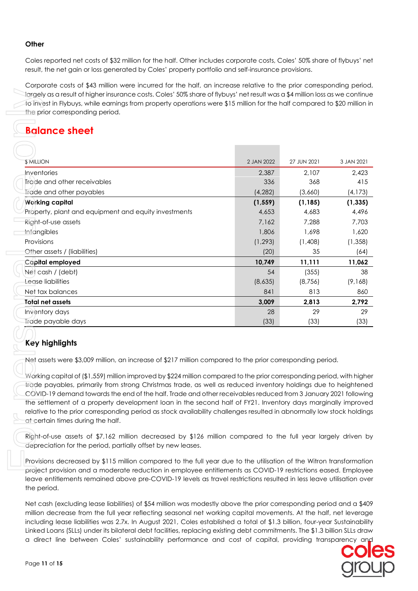### **Other**

Coles reported net costs of \$32 million for the half. Other includes corporate costs, Coles' 50% share of flybuys' net result, the net gain or loss generated by Coles' property portfolio and self-insurance provisions.

Corporate costs of \$43 million were incurred for the half, an increase relative to the prior corresponding period, largely as a result of higher insurance costs. Coles' 50% share of flybuys' net result was a \$4 million loss as we continue to invest in Flybuys, while earnings from property operations were \$15 million for the half compared to \$20 million in the prior corresponding period.

# **Balance sheet**

| largely as a result of higher insurance costs. Coles' 50% share of flybuys' net result was a \$4 million loss as we continue<br>to invest in Flybuys, while earnings from property operations were \$15 million for the half compared to \$20 million in<br>the prior corresponding period. |            |             |            |
|---------------------------------------------------------------------------------------------------------------------------------------------------------------------------------------------------------------------------------------------------------------------------------------------|------------|-------------|------------|
| <b>Balance sheet</b>                                                                                                                                                                                                                                                                        |            |             |            |
|                                                                                                                                                                                                                                                                                             |            |             |            |
| <b><i>SMILLION</i></b>                                                                                                                                                                                                                                                                      | 2 JAN 2022 | 27 JUN 2021 | 3 JAN 2021 |
| Inventories                                                                                                                                                                                                                                                                                 | 2,387      | 2,107       | 2,423      |
| Trade and other receivables                                                                                                                                                                                                                                                                 | 336        | 368         | 415        |
| Trade and other payables                                                                                                                                                                                                                                                                    | (4, 282)   | (3,660)     | (4, 173)   |
| <b>Working capital</b>                                                                                                                                                                                                                                                                      | (1, 559)   | (1, 185)    | (1, 335)   |
| Property, plant and equipment and equity investments                                                                                                                                                                                                                                        | 4,653      | 4,683       | 4,496      |
| Right-of-use assets                                                                                                                                                                                                                                                                         | 7,162      | 7,288       | 7,703      |
| Intangibles                                                                                                                                                                                                                                                                                 | 1,806      | 1,698       | 1,620      |
| Provisions                                                                                                                                                                                                                                                                                  | (1, 293)   | (1,408)     | (1, 358)   |
| Other assets / (liabilities)                                                                                                                                                                                                                                                                | (20)       | 35          | (64)       |
| Capital employed                                                                                                                                                                                                                                                                            | 10,749     | 11,111      | 11,062     |
| Net cash / (debt)                                                                                                                                                                                                                                                                           | 54         | (355)       | 38         |
| Lease liabilities                                                                                                                                                                                                                                                                           | (8,635)    | (8, 756)    | (9,168)    |
| Net tax balances                                                                                                                                                                                                                                                                            | 841        | 813         | 860        |
| <b>Total net assets</b>                                                                                                                                                                                                                                                                     | 3,009      | 2,813       | 2,792      |
| Inventory days                                                                                                                                                                                                                                                                              | 28         | 29          | 29         |
| Trade payable days                                                                                                                                                                                                                                                                          | (33)       | (33)        | (33)       |
|                                                                                                                                                                                                                                                                                             |            |             |            |
| Key highlights                                                                                                                                                                                                                                                                              |            |             |            |
| Net assets were \$3,009 million, an increase of \$217 million compared to the prior corresponding period.                                                                                                                                                                                   |            |             |            |
|                                                                                                                                                                                                                                                                                             |            |             |            |
| Working capital of (\$1,559) million improved by \$224 million compared to the prior corresponding period, with higher                                                                                                                                                                      |            |             |            |
| trade payables, primarily from strong Christmas trade, as well as reduced inventory holdings due to heightened                                                                                                                                                                              |            |             |            |
| COVID-19 demand towards the end of the half. Trade and other receivables reduced from 3 January 2021 following                                                                                                                                                                              |            |             |            |
| the settlement of a property development loan in the second half of FY21. Inventory days marginally improved                                                                                                                                                                                |            |             |            |
| relative to the prior corresponding period as stock availability challenges resulted in abnormally low stock holdings<br>at certain times during the half.                                                                                                                                  |            |             |            |
|                                                                                                                                                                                                                                                                                             |            |             |            |
| Right-of-use assets of \$7,162 million decreased by \$126 million compared to the full year largely driven by<br>depreciation for the period, partially offset by new leases.                                                                                                               |            |             |            |
| Provisions decreased by \$115 million compared to the full year due to the utilisation of the Witron transformation                                                                                                                                                                         |            |             |            |
| project provision and a moderate reduction in employee entitlements as COVID-19 restrictions eased. Employee<br>leave entitlements remained above pre-COVID-19 levels as travel restrictions resulted in less leave utilisation over<br>the period.                                         |            |             |            |
| Net cash (excluding lease liabilities) of \$54 million was modestly above the prior corresponding period and a \$409                                                                                                                                                                        |            |             |            |
| million decrease from the full year reflecting seasonal net working capital movements. At the half, net leverage                                                                                                                                                                            |            |             |            |
| including lease liabilities was 2.7x. In August 2021, Coles established a total of \$1.3 billion, four-year Sustainability                                                                                                                                                                  |            |             |            |
| Linked Loans (SLLs) under its bilateral debt facilities, replacing existing debt commitments. The \$1.3 billion SLLs draw                                                                                                                                                                   |            |             |            |
| a direct line between Coles' sustainability performance and cost of capital, providing transparency and                                                                                                                                                                                     |            |             |            |

# **Key highlights**

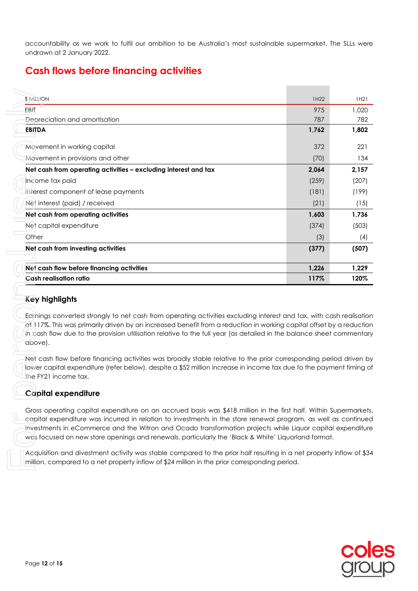accountability as we work to fulfil our ambition to be Australia's most sustainable supermarket. The SLLs were undrawn at 2 January 2022.

# **Cash flows before financing activities**

| <b>SMILLION</b>                                                                                                                                                                                                                                                                                                                                                                                                                                          | 1H22  | 1H21  |
|----------------------------------------------------------------------------------------------------------------------------------------------------------------------------------------------------------------------------------------------------------------------------------------------------------------------------------------------------------------------------------------------------------------------------------------------------------|-------|-------|
| EBIT                                                                                                                                                                                                                                                                                                                                                                                                                                                     | 975   | 1,020 |
| Depreciation and amortisation                                                                                                                                                                                                                                                                                                                                                                                                                            | 787   | 782   |
| <b>EBITDA</b>                                                                                                                                                                                                                                                                                                                                                                                                                                            | 1,762 | 1,802 |
| Movement in working capital                                                                                                                                                                                                                                                                                                                                                                                                                              | 372   | 221   |
| Movement in provisions and other                                                                                                                                                                                                                                                                                                                                                                                                                         | (70)  | 134   |
| Net cash from operating activities - excluding interest and tax                                                                                                                                                                                                                                                                                                                                                                                          | 2,064 | 2,157 |
| Income tax paid                                                                                                                                                                                                                                                                                                                                                                                                                                          | (259) | (207) |
| Interest component of lease payments                                                                                                                                                                                                                                                                                                                                                                                                                     | (181) | (199) |
| Net interest (paid) / received                                                                                                                                                                                                                                                                                                                                                                                                                           | (21)  | (15)  |
| Net cash from operating activities                                                                                                                                                                                                                                                                                                                                                                                                                       | 1,603 | 1,736 |
| Net capital expenditure                                                                                                                                                                                                                                                                                                                                                                                                                                  | (374) | (503) |
| Other                                                                                                                                                                                                                                                                                                                                                                                                                                                    | (3)   | (4)   |
| Net cash from investing activities                                                                                                                                                                                                                                                                                                                                                                                                                       | (377) | (507) |
|                                                                                                                                                                                                                                                                                                                                                                                                                                                          |       |       |
| Net cash flow before financing activities                                                                                                                                                                                                                                                                                                                                                                                                                | 1,226 | 1,229 |
| <b>Cash realisation ratio</b>                                                                                                                                                                                                                                                                                                                                                                                                                            | 117%  | 120%  |
| <b>Key highlights</b><br>Edinings converted strongly to net cash from operating activities excluding interest and tax, with cash realisation<br>at 117%. This was primarily driven by an increased benefit from a reduction in working capital offset by a reduction<br>in cash flow due to the provision utilisation relative to the full year (as detailed in the balance sheet commentary<br>above).                                                  |       |       |
| Net cash flow before financing activities was broadly stable relative to the prior corresponding period driven by                                                                                                                                                                                                                                                                                                                                        |       |       |
| lower capital expenditure (refer below), despite a \$52 million increase in income tax due to the payment timing of<br>the FY21 income tax.                                                                                                                                                                                                                                                                                                              |       |       |
| Capital expenditure                                                                                                                                                                                                                                                                                                                                                                                                                                      |       |       |
| Gross operating capital expenditure on an accrued basis was \$418 million in the first half. Within Supermarkets,<br>capital expenditure was incurred in relation to investments in the store renewal program, as well as continued<br>investments in eCommerce and the Witron and Ocado transformation projects while Liquor capital expenditure<br>was focused on new store openings and renewals, particularly the 'Black & White' Liquorland format. |       |       |

# **Key highlights**

# **Capital expenditure**

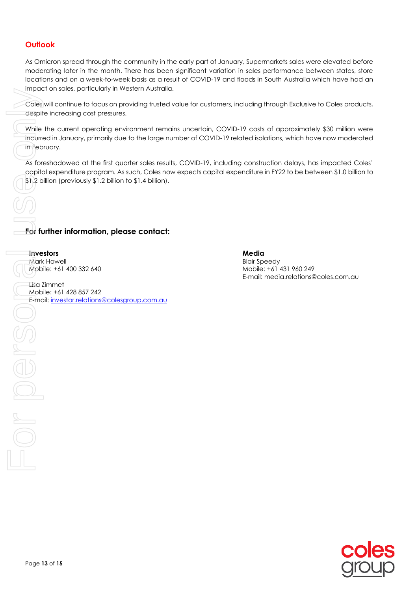# **Outlook**

As Omicron spread through the community in the early part of January, Supermarkets sales were elevated before moderating later in the month. There has been significant variation in sales performance between states, store locations and on a week-to-week basis as a result of COVID-19 and floods in South Australia which have had an impact on sales, particularly in Western Australia.

Coles will continue to focus on providing trusted value for customers, including through Exclusive to Coles products, despite increasing cost pressures.

While the current operating environment remains uncertain, COVID-19 costs of approximately \$30 million were incurred in January, primarily due to the large number of COVID-19 related isolations, which have now moderated in February. For full begins the conjugation of the conjugation of the conjugation of the conjugation of the conjugation of the conjugation of the conjugation of the conjugation of the conjugation of the conjugation of the conjugation

As foreshadowed at the first quarter sales results, COVID-19, including construction delays, has impacted Coles' capital expenditure program. As such, Coles now expects capital expenditure in FY22 to be between \$1.0 billion to \$1.2 billion (previously \$1.2 billion to \$1.4 billion).

# **For further information, please contact:**

#### **Investors**

 $\begin{aligned} \text{Cov} = \text{Cov} \left( \text{Cov} \right) \text{Cov} \end{aligned}$ 

Mark Howell Mobile: +61 400 332 640

Lisa Zimmet Mobile: +61 428 857 242 E-mail: [investor.relations@colesgroup.com.au](mailto:investor.relations@colesgroup.com.au) **Media** 

Blair Speedy Mobile: +61 431 960 249 E-mail: media.relations@coles.com.au

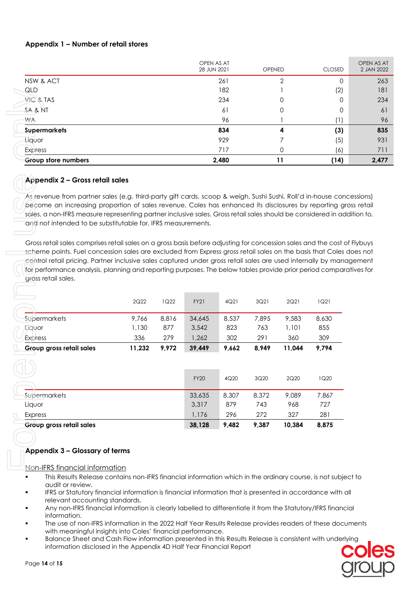# **Appendix 1 – Number of retail stores**

|                     | OPEN AS AT<br>28 JUN 2021 | <b>OPENED</b> | <b>CLOSED</b> | OPEN AS AT<br>2 JAN 2022 |
|---------------------|---------------------------|---------------|---------------|--------------------------|
| NSW & ACT           | 261                       | 2             | 0             | 263                      |
| QLD                 | 182                       |               | (2)           | 181                      |
| VIC & TAS           | 234                       | 0             | 0             | 234                      |
| SA & NT             | 61                        | 0             | 0             | 61                       |
| WA                  | 96                        |               | U             | 96                       |
| <b>Supermarkets</b> | 834                       | 4             | (3)           | 835                      |
| Liquor              | 929                       |               | (5)           | 931                      |
| <b>Express</b>      | 717                       | $\Omega$      | (6)           | 711                      |
| Group store numbers | 2,480                     | 11            | (14)          | 2,477                    |

### **Appendix 2 – Gross retail sales**

As revenue from partner sales (e.g. third-party gift cards, scoop & weigh, Sushi Sushi, Roll'd in-house concessions) become an increasing proportion of sales revenue, Coles has enhanced its disclosures by reporting gross retail sales, a non-IFRS measure representing partner inclusive sales. Gross retail sales should be considered in addition to, and not intended to be substitutable for, IFRS measurements.

Gross retail sales comprises retail sales on a gross basis before adjusting for concession sales and the cost of Flybuys scheme points. Fuel concession sales are excluded from Express gross retail sales on the basis that Coles does not control retail pricing. Partner inclusive sales captured under gross retail sales are used internally by management for performance analysis, planning and reporting purposes. The below tables provide prior period comparatives for gross retail sales.

| VIC & TAS<br>SA & NT                                                                                          |        |       |             |       |       |        |                                                      |
|---------------------------------------------------------------------------------------------------------------|--------|-------|-------------|-------|-------|--------|------------------------------------------------------|
|                                                                                                               |        |       |             | 234   |       | 0      |                                                      |
|                                                                                                               |        | 61    |             |       | 0     |        |                                                      |
| WA                                                                                                            |        |       |             | 96    |       |        |                                                      |
| <b>Supermarkets</b>                                                                                           |        |       |             | 834   |       | 4      |                                                      |
| Liquor                                                                                                        |        |       |             | 929   |       | 7      |                                                      |
| <b>Express</b>                                                                                                |        |       |             | 717   |       | 0      |                                                      |
| Group store numbers                                                                                           |        |       |             | 2,480 |       | 11     |                                                      |
| Appendix 2 - Gross retail sales                                                                               |        |       |             |       |       |        |                                                      |
| As revenue from partner sales (e.g. third-party gift cards, scoop & weigh, Sushi Sushi, Roll'd in-house cor   |        |       |             |       |       |        |                                                      |
| become an increasing proportion of sales revenue, Coles has enhanced its disclosures by reporting g           |        |       |             |       |       |        |                                                      |
| sales, a non-IFRS measure representing partner inclusive sales. Gross retail sales should be considered in a  |        |       |             |       |       |        |                                                      |
| and not intended to be substitutable for, IFRS measurements.                                                  |        |       |             |       |       |        |                                                      |
|                                                                                                               |        |       |             |       |       |        |                                                      |
|                                                                                                               |        |       |             |       |       |        |                                                      |
| Gross retail sales comprises retail sales on a gross basis before adjusting for concession sales and the cost |        |       |             |       |       |        |                                                      |
| scheme points. Fuel concession sales are excluded from Express gross retail sales on the basis that Coles     |        |       |             |       |       |        |                                                      |
| control retail pricing. Partner inclusive sales captured under gross retail sales are used internally by man  |        |       |             |       |       |        |                                                      |
| for performance analysis, planning and reporting purposes. The below tables provide prior period compa        |        |       |             |       |       |        |                                                      |
| gross retail sales.                                                                                           |        |       |             |       |       |        |                                                      |
|                                                                                                               |        |       |             |       |       |        |                                                      |
|                                                                                                               |        |       |             |       |       |        |                                                      |
|                                                                                                               | 2Q22   | 1Q22  | <b>FY21</b> | 4Q21  | 3Q21  | 2Q21   | 1Q21                                                 |
| Supermarkets                                                                                                  | 9,766  | 8,816 | 34,645      | 8,537 | 7,895 | 9,583  | 8,630                                                |
| Liquor                                                                                                        | 1,130  | 877   | 3,542       | 823   | 763   | 1,101  | 855                                                  |
| <b>Express</b>                                                                                                | 336    | 279   | 1,262       | 302   | 291   | 360    |                                                      |
| Group gross retail sales                                                                                      | 11,232 | 9,972 | 39,449      | 9,662 | 8,949 | 11,044 |                                                      |
|                                                                                                               |        |       |             |       |       |        |                                                      |
|                                                                                                               |        |       |             |       |       |        |                                                      |
|                                                                                                               |        |       |             |       |       |        |                                                      |
|                                                                                                               |        |       | <b>FY20</b> | 4Q20  | 3Q20  | 2Q20   |                                                      |
| Supermarkets                                                                                                  |        |       | 33,635      | 8,307 | 8,372 | 9,089  |                                                      |
| Liquor                                                                                                        |        |       | 3,317       | 879   | 743   | 968    |                                                      |
| <b>Express</b>                                                                                                |        |       | 1,176       | 296   | 272   | 327    |                                                      |
| Group gross retail sales                                                                                      |        |       | 38,128      | 9,482 | 9,387 | 10,384 |                                                      |
|                                                                                                               |        |       |             |       |       |        | 309<br>9,794<br>1Q20<br>7,867<br>727<br>281<br>8,875 |

# **Appendix 3 – Glossary of terms**

Non-IFRS financial information

- This Results Release contains non-IFRS financial information which in the ordinary course, is not subject to audit or review.
- IFRS or Statutory financial information is financial information that is presented in accordance with all relevant accounting standards.
- Any non-IFRS financial information is clearly labelled to differentiate it from the Statutory/IFRS financial information.
- The use of non-IFRS information in the 2022 Half Year Results Release provides readers of these documents with meaningful insights into Coles' financial performance.
- Balance Sheet and Cash Flow information presented in this Results Release is consistent with underlying information disclosed in the Appendix 4D Half Year Financial Report